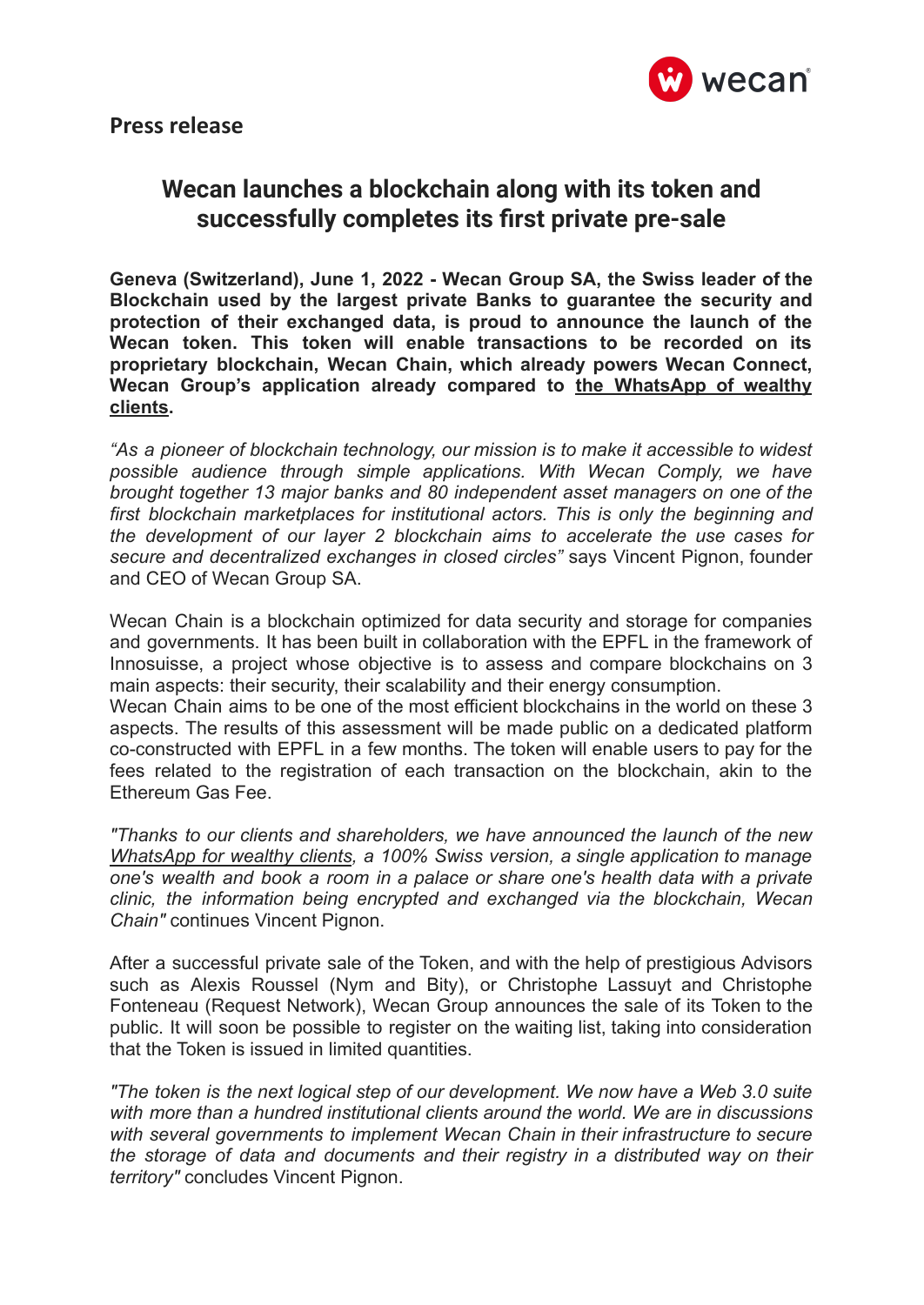

## **Wecan launches a blockchain along with its token and successfully completes its first private pre-sale**

**Geneva (Switzerland), June 1, 2022 - Wecan Group SA, the Swiss leader of the Blockchain used by the largest private Banks to guarantee the security and protection of their exchanged data, is proud to announce the launch of the Wecan token. This token will enable transactions to be recorded on its proprietary blockchain, Wecan Chain, which already powers Wecan Connect, Wecan Group's application already compared to the [WhatsApp](https://wecangroup.ch/interview-the-new-whatsapp-for-wealthy-clients-100-swiss-version/) of wealthy [clients.](https://wecangroup.ch/interview-the-new-whatsapp-for-wealthy-clients-100-swiss-version/)**

*"As a pioneer of blockchain technology, our mission is to make it accessible to widest possible audience through simple applications. With Wecan Comply, we have brought together 13 major banks and 80 independent asset managers on one of the first blockchain marketplaces for institutional actors. This is only the beginning and the development of our layer 2 blockchain aims to accelerate the use cases for secure and decentralized exchanges in closed circles"* says Vincent Pignon, founder and CEO of Wecan Group SA.

Wecan Chain is a blockchain optimized for data security and storage for companies and governments. It has been built in collaboration with the EPFL in the framework of Innosuisse, a project whose objective is to assess and compare blockchains on 3 main aspects: their security, their scalability and their energy consumption.

Wecan Chain aims to be one of the most efficient blockchains in the world on these 3 aspects. The results of this assessment will be made public on a dedicated platform co-constructed with EPFL in a few months. The token will enable users to pay for the fees related to the registration of each transaction on the blockchain, akin to the Ethereum Gas Fee.

*"Thanks to our clients and shareholders, we have announced the launch of the new [WhatsApp](https://wecangroup.ch/interview-the-new-whatsapp-for-wealthy-clients-100-swiss-version/) for wealthy clients, a 100% Swiss version, a single application to manage one's wealth and book a room in a palace or share one's health data with a private clinic, the information being encrypted and exchanged via the blockchain, Wecan Chain"* continues Vincent Pignon.

After a successful private sale of the Token, and with the help of prestigious Advisors such as Alexis Roussel (Nym and Bity), or Christophe Lassuyt and Christophe Fonteneau (Request Network), Wecan Group announces the sale of its Token to the public. It will soon be possible to register on the waiting list, taking into consideration that the Token is issued in limited quantities.

*"The token is the next logical step of our development. We now have a Web 3.0 suite with more than a hundred institutional clients around the world. We are in discussions with several governments to implement Wecan Chain in their infrastructure to secure the storage of data and documents and their registry in a distributed way on their territory"* concludes Vincent Pignon.